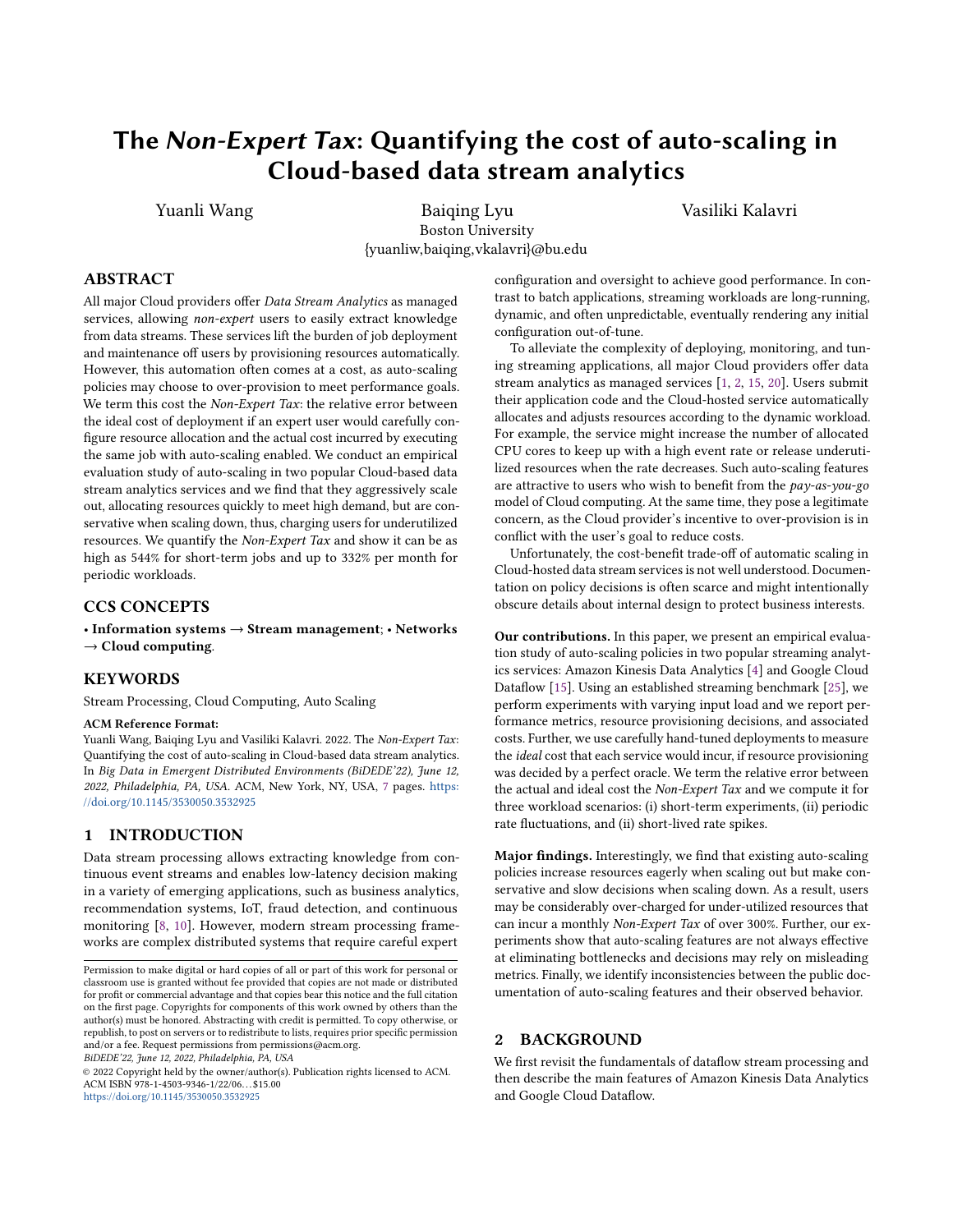# The Non-Expert Tax: Quantifying the cost of auto-scaling in Cloud-based data stream analytics

Yuanli Wang **Baiqing Lyu** Vasiliki Kalavri Boston University {yuanliw,baiqing,vkalavri}@bu.edu

# ABSTRACT

All major Cloud providers offer Data Stream Analytics as managed services, allowing non-expert users to easily extract knowledge from data streams. These services lift the burden of job deployment and maintenance off users by provisioning resources automatically. However, this automation often comes at a cost, as auto-scaling policies may choose to over-provision to meet performance goals. We term this cost the Non-Expert Tax: the relative error between the ideal cost of deployment if an expert user would carefully configure resource allocation and the actual cost incurred by executing the same job with auto-scaling enabled. We conduct an empirical evaluation study of auto-scaling in two popular Cloud-based data stream analytics services and we find that they aggressively scale out, allocating resources quickly to meet high demand, but are conservative when scaling down, thus, charging users for underutilized resources. We quantify the Non-Expert Tax and show it can be as high as 544% for short-term jobs and up to 332% per month for periodic workloads.

# CCS CONCEPTS

• Information systems → Stream management; • Networks  $\rightarrow$  Cloud computing.

# KEYWORDS

Stream Processing, Cloud Computing, Auto Scaling

#### ACM Reference Format:

Yuanli Wang, Baiqing Lyu and Vasiliki Kalavri. 2022. The Non-Expert Tax: Quantifying the cost of auto-scaling in Cloud-based data stream analytics. In Big Data in Emergent Distributed Environments (BiDEDE'22), June 12, 2022, Philadelphia, PA, USA. ACM, New York, NY, USA, [7](#page-6-0) pages. [https:](https://doi.org/10.1145/3530050.3532925) [//doi.org/10.1145/3530050.3532925](https://doi.org/10.1145/3530050.3532925)

# 1 INTRODUCTION

Data stream processing allows extracting knowledge from continuous event streams and enables low-latency decision making in a variety of emerging applications, such as business analytics, recommendation systems, IoT, fraud detection, and continuous monitoring [\[8,](#page-6-1) [10\]](#page-6-2). However, modern stream processing frameworks are complex distributed systems that require careful expert

BiDEDE'22, June 12, 2022, Philadelphia, PA, USA

© 2022 Copyright held by the owner/author(s). Publication rights licensed to ACM. ACM ISBN 978-1-4503-9346-1/22/06. . . \$15.00 <https://doi.org/10.1145/3530050.3532925>

configuration and oversight to achieve good performance. In contrast to batch applications, streaming workloads are long-running, dynamic, and often unpredictable, eventually rendering any initial configuration out-of-tune.

To alleviate the complexity of deploying, monitoring, and tuning streaming applications, all major Cloud providers offer data stream analytics as managed services [\[1,](#page-5-0) [2,](#page-5-1) [15,](#page-6-3) [20\]](#page-6-4). Users submit their application code and the Cloud-hosted service automatically allocates and adjusts resources according to the dynamic workload. For example, the service might increase the number of allocated CPU cores to keep up with a high event rate or release underutilized resources when the rate decreases. Such auto-scaling features are attractive to users who wish to benefit from the pay-as-you-go model of Cloud computing. At the same time, they pose a legitimate concern, as the Cloud provider's incentive to over-provision is in conflict with the user's goal to reduce costs.

Unfortunately, the cost-benefit trade-off of automatic scaling in Cloud-hosted data stream services is not well understood. Documentation on policy decisions is often scarce and might intentionally obscure details about internal design to protect business interests.

Our contributions. In this paper, we present an empirical evaluation study of auto-scaling policies in two popular streaming analytics services: Amazon Kinesis Data Analytics [\[4\]](#page-6-5) and Google Cloud Dataflow [\[15\]](#page-6-3). Using an established streaming benchmark [\[25\]](#page-6-6), we perform experiments with varying input load and we report performance metrics, resource provisioning decisions, and associated costs. Further, we use carefully hand-tuned deployments to measure the ideal cost that each service would incur, if resource provisioning was decided by a perfect oracle. We term the relative error between the actual and ideal cost the Non-Expert Tax and we compute it for three workload scenarios: (i) short-term experiments, (ii) periodic rate fluctuations, and (ii) short-lived rate spikes.

Major findings. Interestingly, we find that existing auto-scaling policies increase resources eagerly when scaling out but make conservative and slow decisions when scaling down. As a result, users may be considerably over-charged for under-utilized resources that can incur a monthly Non-Expert Tax of over 300%. Further, our experiments show that auto-scaling features are not always effective at eliminating bottlenecks and decisions may rely on misleading metrics. Finally, we identify inconsistencies between the public documentation of auto-scaling features and their observed behavior.

#### 2 BACKGROUND

We first revisit the fundamentals of dataflow stream processing and then describe the main features of Amazon Kinesis Data Analytics and Google Cloud Dataflow.

Permission to make digital or hard copies of all or part of this work for personal or classroom use is granted without fee provided that copies are not made or distributed for profit or commercial advantage and that copies bear this notice and the full citation on the first page. Copyrights for components of this work owned by others than the author(s) must be honored. Abstracting with credit is permitted. To copy otherwise, or republish, to post on servers or to redistribute to lists, requires prior specific permission and/or a fee. Request permissions from permissions@acm.org.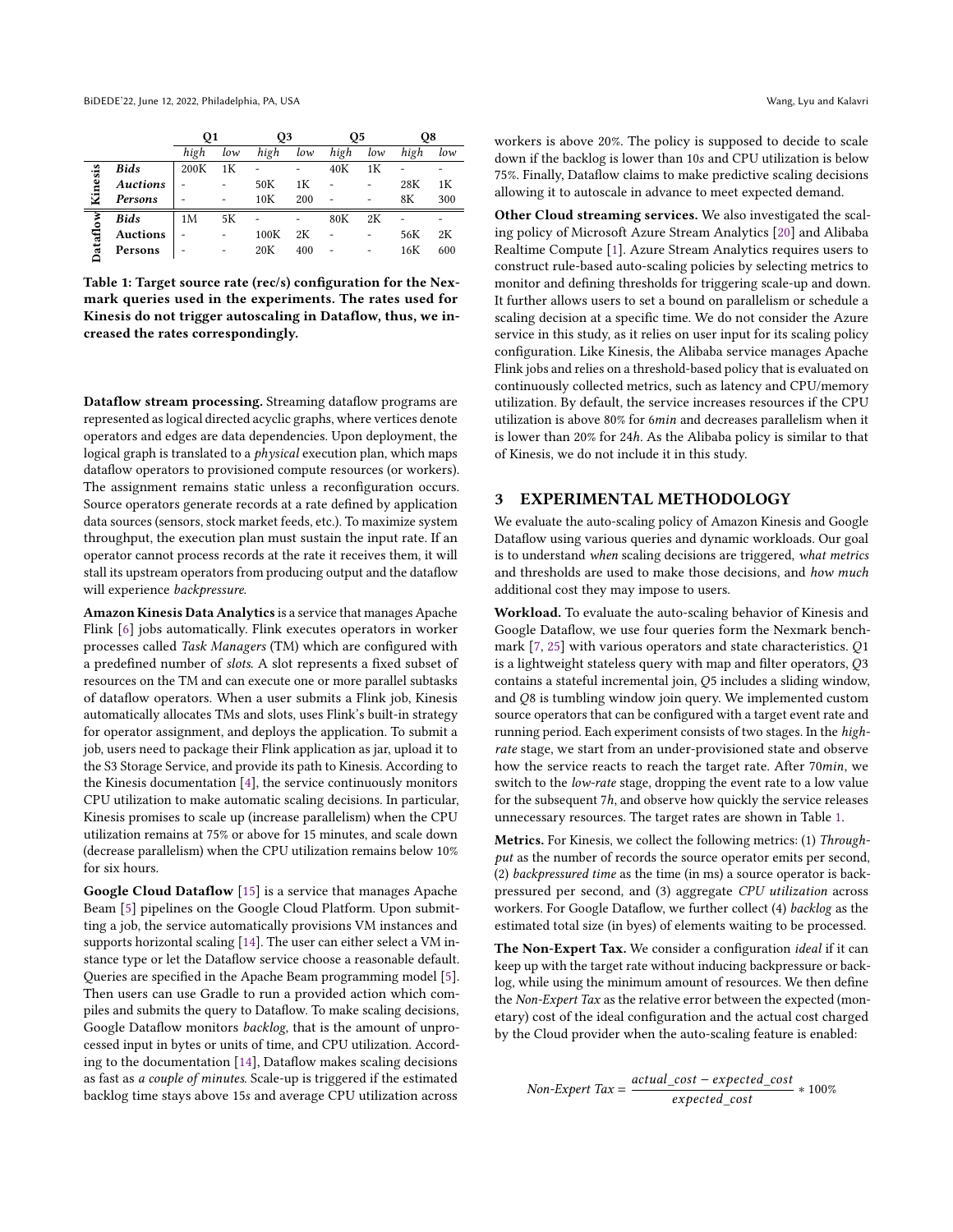<span id="page-1-0"></span>

|         |                 | Q1   |     | Q3   |     | Q5   |     | O8   |     |
|---------|-----------------|------|-----|------|-----|------|-----|------|-----|
|         |                 | high | low | high | low | high | low | high | low |
| Kinesis | <b>Bids</b>     | 200K | 1Κ  |      |     | 40K  | 1К  |      |     |
|         | <b>Auctions</b> |      |     | 50K  | 1K  |      |     | 28K  | 1К  |
|         | Persons         |      |     | 10K  | 200 |      |     | 8Κ   | 300 |
| ataflow | Bids            | 1M   | 5К  |      |     | 80K  | 2К  |      |     |
|         | <b>Auctions</b> |      |     | 100K | 2К  |      |     | 56K  | 2К  |
|         | Persons         |      |     | 20K  | 400 |      |     | 16K  | 600 |
|         |                 |      |     |      |     |      |     |      |     |

Table 1: Target source rate (rec/s) configuration for the Nexmark queries used in the experiments. The rates used for Kinesis do not trigger autoscaling in Dataflow, thus, we increased the rates correspondingly.

Dataflow stream processing. Streaming dataflow programs are represented as logical directed acyclic graphs, where vertices denote operators and edges are data dependencies. Upon deployment, the logical graph is translated to a *physical* execution plan, which maps dataflow operators to provisioned compute resources (or workers). The assignment remains static unless a reconfiguration occurs. Source operators generate records at a rate defined by application data sources (sensors, stock market feeds, etc.). To maximize system throughput, the execution plan must sustain the input rate. If an operator cannot process records at the rate it receives them, it will stall its upstream operators from producing output and the dataflow will experience backpressure.

Amazon Kinesis Data Analytics is a service that manages Apache Flink [\[6\]](#page-6-7) jobs automatically. Flink executes operators in worker processes called Task Managers (TM) which are configured with a predefined number of slots. A slot represents a fixed subset of resources on the TM and can execute one or more parallel subtasks of dataflow operators. When a user submits a Flink job, Kinesis automatically allocates TMs and slots, uses Flink's built-in strategy for operator assignment, and deploys the application. To submit a job, users need to package their Flink application as jar, upload it to the S3 Storage Service, and provide its path to Kinesis. According to the Kinesis documentation [\[4\]](#page-6-5), the service continuously monitors CPU utilization to make automatic scaling decisions. In particular, Kinesis promises to scale up (increase parallelism) when the CPU utilization remains at 75% or above for 15 minutes, and scale down (decrease parallelism) when the CPU utilization remains below 10% for six hours.

Google Cloud Dataflow [\[15\]](#page-6-3) is a service that manages Apache Beam [\[5\]](#page-6-8) pipelines on the Google Cloud Platform. Upon submitting a job, the service automatically provisions VM instances and supports horizontal scaling [\[14\]](#page-6-9). The user can either select a VM instance type or let the Dataflow service choose a reasonable default. Queries are specified in the Apache Beam programming model [\[5\]](#page-6-8). Then users can use Gradle to run a provided action which compiles and submits the query to Dataflow. To make scaling decisions, Google Dataflow monitors backlog, that is the amount of unprocessed input in bytes or units of time, and CPU utilization. According to the documentation [\[14\]](#page-6-9), Dataflow makes scaling decisions as fast as a couple of minutes. Scale-up is triggered if the estimated backlog time stays above 15s and average CPU utilization across

workers is above 20%. The policy is supposed to decide to scale down if the backlog is lower than 10s and CPU utilization is below 75%. Finally, Dataflow claims to make predictive scaling decisions allowing it to autoscale in advance to meet expected demand.

Other Cloud streaming services. We also investigated the scaling policy of Microsoft Azure Stream Analytics [\[20\]](#page-6-4) and Alibaba Realtime Compute [\[1\]](#page-5-0). Azure Stream Analytics requires users to construct rule-based auto-scaling policies by selecting metrics to monitor and defining thresholds for triggering scale-up and down. It further allows users to set a bound on parallelism or schedule a scaling decision at a specific time. We do not consider the Azure service in this study, as it relies on user input for its scaling policy configuration. Like Kinesis, the Alibaba service manages Apache Flink jobs and relies on a threshold-based policy that is evaluated on continuously collected metrics, such as latency and CPU/memory utilization. By default, the service increases resources if the CPU utilization is above 80% for 6min and decreases parallelism when it is lower than 20% for 24ℎ. As the Alibaba policy is similar to that of Kinesis, we do not include it in this study.

# 3 EXPERIMENTAL METHODOLOGY

We evaluate the auto-scaling policy of Amazon Kinesis and Google Dataflow using various queries and dynamic workloads. Our goal is to understand when scaling decisions are triggered, what metrics and thresholds are used to make those decisions, and how much additional cost they may impose to users.

Workload. To evaluate the auto-scaling behavior of Kinesis and Google Dataflow, we use four queries form the Nexmark benchmark  $[7, 25]$  $[7, 25]$  $[7, 25]$  with various operators and state characteristics.  $Q1$ is a lightweight stateless query with map and filter operators,  $Q3$ contains a stateful incremental join, Q5 includes a sliding window, and Q8 is tumbling window join query. We implemented custom source operators that can be configured with a target event rate and running period. Each experiment consists of two stages. In the highrate stage, we start from an under-provisioned state and observe how the service reacts to reach the target rate. After 70min, we switch to the *low-rate* stage, dropping the event rate to a low value for the subsequent 7h, and observe how quickly the service releases unnecessary resources. The target rates are shown in Table [1.](#page-1-0)

Metrics. For Kinesis, we collect the following metrics: (1) Throughput as the number of records the source operator emits per second, (2) backpressured time as the time (in ms) a source operator is backpressured per second, and (3) aggregate CPU utilization across workers. For Google Dataflow, we further collect (4) backlog as the estimated total size (in byes) of elements waiting to be processed.

The Non-Expert Tax. We consider a configuration *ideal* if it can keep up with the target rate without inducing backpressure or backlog, while using the minimum amount of resources. We then define the Non-Expert Tax as the relative error between the expected (monetary) cost of the ideal configuration and the actual cost charged by the Cloud provider when the auto-scaling feature is enabled:

 $Non-Expert Tax = \frac{actual\_cost - expected\_cost}{\sqrt{1 - t}}$  $\frac{1}{100\%}$  \* 100%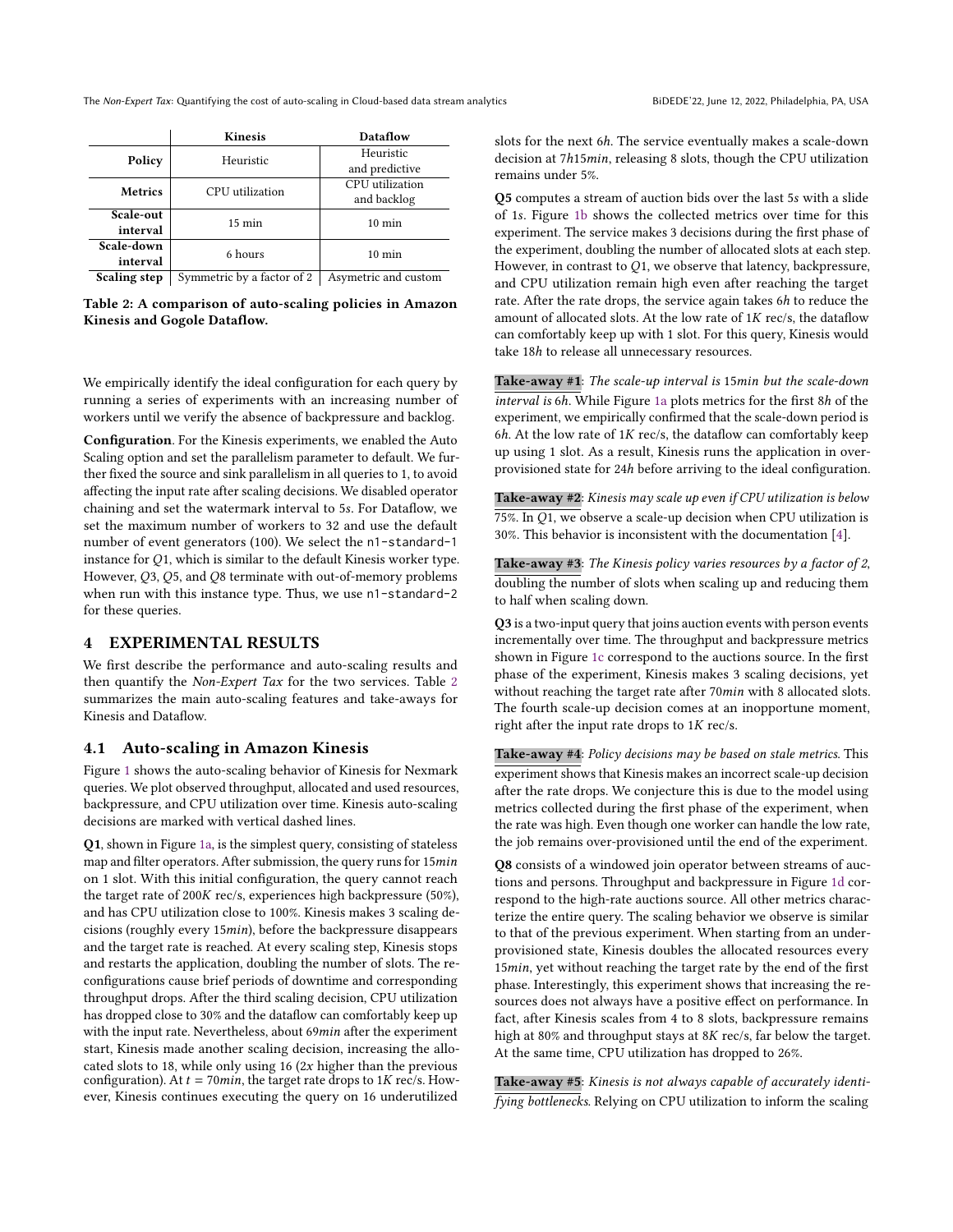The Non-Expert Tax: Quantifying the cost of auto-scaling in Cloud-based data stream analytics BiDEDE'22, June 12, 2022, Philadelphia, PA, USA

<span id="page-2-0"></span>

|                | <b>Kinesis</b>             | Dataflow             |  |  |  |
|----------------|----------------------------|----------------------|--|--|--|
| Policy         | Heuristic                  | Heuristic            |  |  |  |
|                |                            | and predictive       |  |  |  |
| <b>Metrics</b> | CPU utilization            | CPU utilization      |  |  |  |
|                |                            | and backlog          |  |  |  |
| Scale-out      | $15 \text{ min}$           | $10 \text{ min}$     |  |  |  |
| interval       |                            |                      |  |  |  |
| Scale-down     | 6 hours                    | $10 \text{ min}$     |  |  |  |
| interval       |                            |                      |  |  |  |
| Scaling step   | Symmetric by a factor of 2 | Asymetric and custom |  |  |  |

Table 2: A comparison of auto-scaling policies in Amazon Kinesis and Gogole Dataflow.

We empirically identify the ideal configuration for each query by running a series of experiments with an increasing number of workers until we verify the absence of backpressure and backlog.

Configuration. For the Kinesis experiments, we enabled the Auto Scaling option and set the parallelism parameter to default. We further fixed the source and sink parallelism in all queries to 1, to avoid affecting the input rate after scaling decisions. We disabled operator chaining and set the watermark interval to 5s. For Dataflow, we set the maximum number of workers to 32 and use the default number of event generators (100). We select the n1-standard-1 instance for  $Q1$ , which is similar to the default Kinesis worker type. However,  $Q3$ ,  $Q5$ , and  $Q8$  terminate with out-of-memory problems when run with this instance type. Thus, we use n1-standard-2 for these queries.

### 4 EXPERIMENTAL RESULTS

We first describe the performance and auto-scaling results and then quantify the Non-Expert Tax for the two services. Table [2](#page-2-0) summarizes the main auto-scaling features and take-aways for Kinesis and Dataflow.

#### <span id="page-2-1"></span>4.1 Auto-scaling in Amazon Kinesis

Figure [1](#page-3-0) shows the auto-scaling behavior of Kinesis for Nexmark queries. We plot observed throughput, allocated and used resources, backpressure, and CPU utilization over time. Kinesis auto-scaling decisions are marked with vertical dashed lines.

Q1, shown in Figure [1a,](#page-3-0) is the simplest query, consisting of stateless map and filter operators. After submission, the query runs for 15min on 1 slot. With this initial configuration, the query cannot reach the target rate of 200K rec/s, experiences high backpressure (50%), and has CPU utilization close to 100%. Kinesis makes 3 scaling decisions (roughly every 15 $min$ ), before the backpressure disappears and the target rate is reached. At every scaling step, Kinesis stops and restarts the application, doubling the number of slots. The reconfigurations cause brief periods of downtime and corresponding throughput drops. After the third scaling decision, CPU utilization has dropped close to 30% and the dataflow can comfortably keep up with the input rate. Nevertheless, about 69min after the experiment start, Kinesis made another scaling decision, increasing the allocated slots to 18, while only using 16 ( $2x$  higher than the previous configuration). At  $t = 70min$ , the target rate drops to 1K rec/s. However, Kinesis continues executing the query on 16 underutilized

slots for the next 6ℎ. The service eventually makes a scale-down decision at 7h15min, releasing 8 slots, though the CPU utilization remains under 5%.

Q5 computes a stream of auction bids over the last 5s with a slide of 1. Figure [1b](#page-3-0) shows the collected metrics over time for this experiment. The service makes 3 decisions during the first phase of the experiment, doubling the number of allocated slots at each step. However, in contrast to  $Q1$ , we observe that latency, backpressure, and CPU utilization remain high even after reaching the target rate. After the rate drops, the service again takes 6ℎ to reduce the amount of allocated slots. At the low rate of  $1K$  rec/s, the dataflow can comfortably keep up with 1 slot. For this query, Kinesis would take 18ℎ to release all unnecessary resources.

Take-away  $#1$ : The scale-up interval is 15 $min$  but the scale-down interval is 6ℎ. While Figure [1a](#page-3-0) plots metrics for the first 8ℎ of the experiment, we empirically confirmed that the scale-down period is  $6h$ . At the low rate of 1K rec/s, the dataflow can comfortably keep up using 1 slot. As a result, Kinesis runs the application in overprovisioned state for 24ℎ before arriving to the ideal configuration.

Take-away #2: Kinesis may scale up even if CPU utilization is below 75%. In  $O1$ , we observe a scale-up decision when CPU utilization is 30%. This behavior is inconsistent with the documentation [\[4\]](#page-6-5).

Take-away #3: The Kinesis policy varies resources by a factor of 2, doubling the number of slots when scaling up and reducing them to half when scaling down.

Q3 is a two-input query that joins auction events with person events incrementally over time. The throughput and backpressure metrics shown in Figure [1c](#page-3-0) correspond to the auctions source. In the first phase of the experiment, Kinesis makes 3 scaling decisions, yet without reaching the target rate after 70min with 8 allocated slots. The fourth scale-up decision comes at an inopportune moment, right after the input rate drops to  $1K$  rec/s.

Take-away #4: Policy decisions may be based on stale metrics. This experiment shows that Kinesis makes an incorrect scale-up decision after the rate drops. We conjecture this is due to the model using metrics collected during the first phase of the experiment, when the rate was high. Even though one worker can handle the low rate, the job remains over-provisioned until the end of the experiment.

Q8 consists of a windowed join operator between streams of auctions and persons. Throughput and backpressure in Figure [1d](#page-3-0) correspond to the high-rate auctions source. All other metrics characterize the entire query. The scaling behavior we observe is similar to that of the previous experiment. When starting from an underprovisioned state, Kinesis doubles the allocated resources every 15min, yet without reaching the target rate by the end of the first phase. Interestingly, this experiment shows that increasing the resources does not always have a positive effect on performance. In fact, after Kinesis scales from 4 to 8 slots, backpressure remains high at 80% and throughput stays at 8K rec/s, far below the target. At the same time, CPU utilization has dropped to 26%.

Take-away #5: Kinesis is not always capable of accurately identifying bottlenecks. Relying on CPU utilization to inform the scaling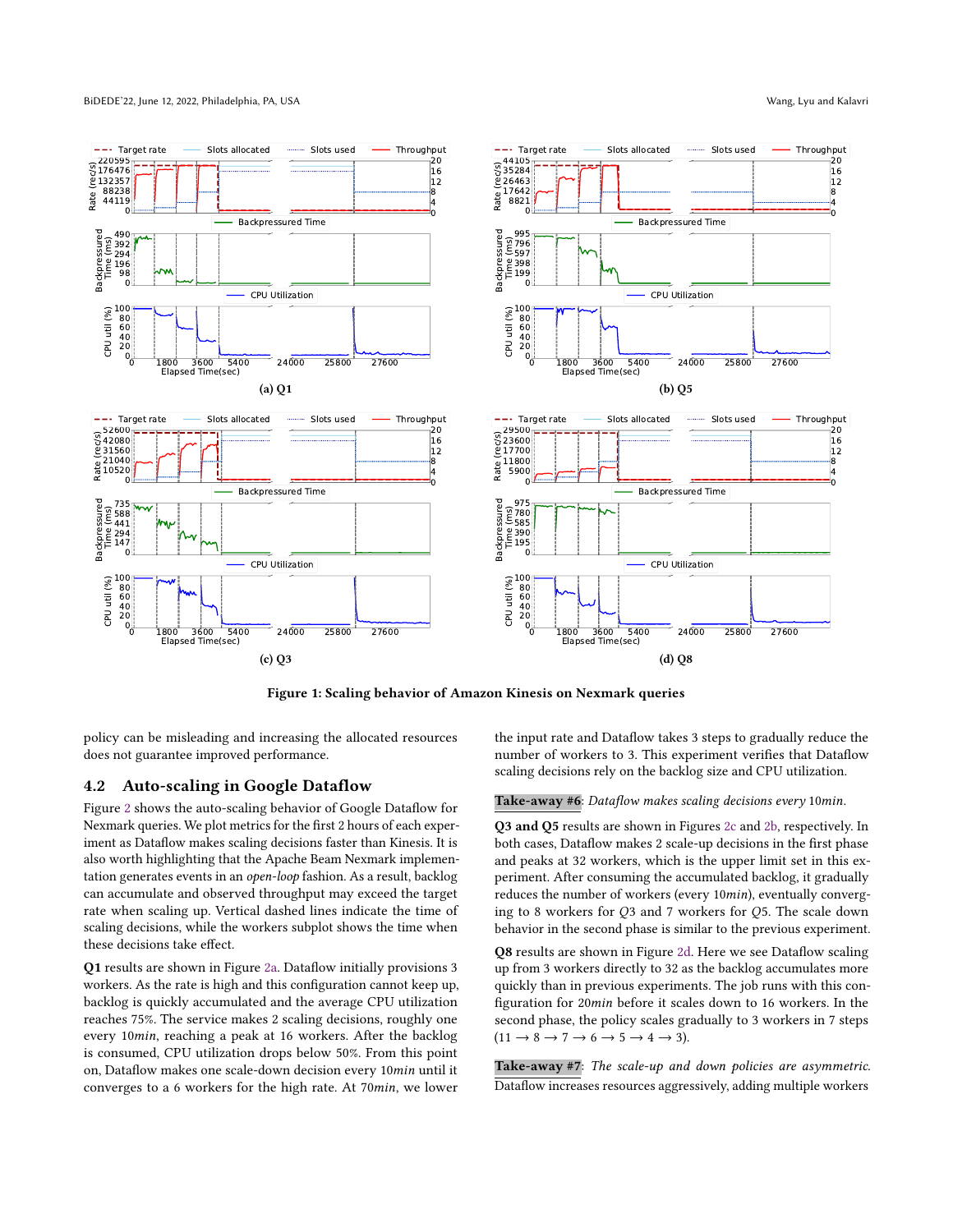<span id="page-3-0"></span>

Figure 1: Scaling behavior of Amazon Kinesis on Nexmark queries

policy can be misleading and increasing the allocated resources does not guarantee improved performance.

# <span id="page-3-1"></span>4.2 Auto-scaling in Google Dataflow

Figure [2](#page-4-0) shows the auto-scaling behavior of Google Dataflow for Nexmark queries. We plot metrics for the first 2 hours of each experiment as Dataflow makes scaling decisions faster than Kinesis. It is also worth highlighting that the Apache Beam Nexmark implementation generates events in an open-loop fashion. As a result, backlog can accumulate and observed throughput may exceed the target rate when scaling up. Vertical dashed lines indicate the time of scaling decisions, while the workers subplot shows the time when these decisions take effect.

Q1 results are shown in Figure [2a.](#page-4-0) Dataflow initially provisions 3 workers. As the rate is high and this configuration cannot keep up, backlog is quickly accumulated and the average CPU utilization reaches 75%. The service makes 2 scaling decisions, roughly one every 10min, reaching a peak at 16 workers. After the backlog is consumed, CPU utilization drops below 50%. From this point on, Dataflow makes one scale-down decision every 10min until it converges to a 6 workers for the high rate. At 70min, we lower

the input rate and Dataflow takes 3 steps to gradually reduce the number of workers to 3. This experiment verifies that Dataflow scaling decisions rely on the backlog size and CPU utilization.

Take-away #6: Dataflow makes scaling decisions every 10min.

Q3 and Q5 results are shown in Figures [2c](#page-4-0) and [2b,](#page-4-0) respectively. In both cases, Dataflow makes 2 scale-up decisions in the first phase and peaks at 32 workers, which is the upper limit set in this experiment. After consuming the accumulated backlog, it gradually reduces the number of workers (every 10 $min$ ), eventually converging to 8 workers for  $O3$  and 7 workers for  $O5$ . The scale down behavior in the second phase is similar to the previous experiment.

Q8 results are shown in Figure [2d.](#page-4-0) Here we see Dataflow scaling up from 3 workers directly to 32 as the backlog accumulates more quickly than in previous experiments. The job runs with this configuration for 20 min before it scales down to 16 workers. In the second phase, the policy scales gradually to 3 workers in 7 steps  $(11 \rightarrow 8 \rightarrow 7 \rightarrow 6 \rightarrow 5 \rightarrow 4 \rightarrow 3)$ .

Take-away #7: The scale-up and down policies are asymmetric. Dataflow increases resources aggressively, adding multiple workers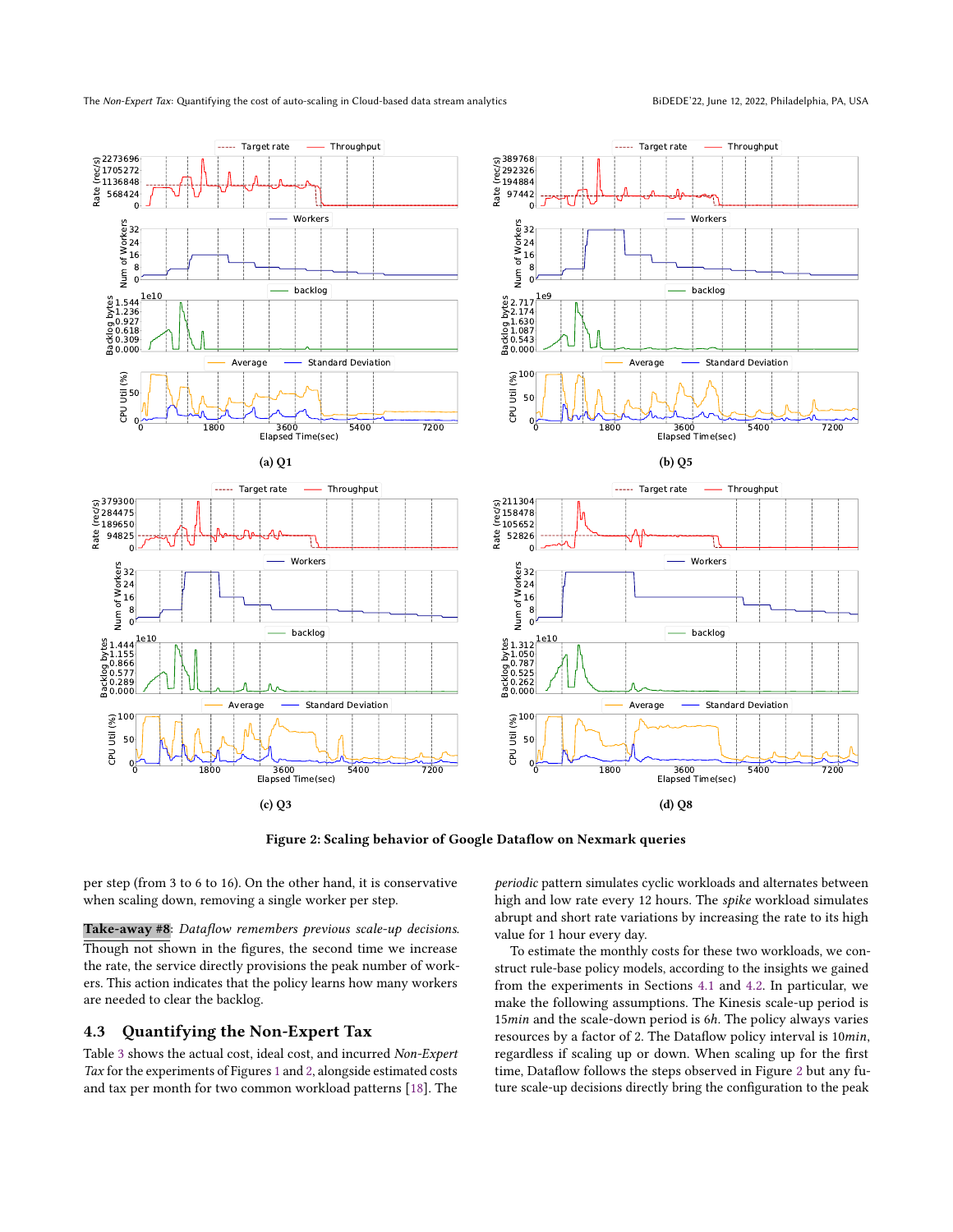<span id="page-4-0"></span>

Figure 2: Scaling behavior of Google Dataflow on Nexmark queries

per step (from 3 to 6 to 16). On the other hand, it is conservative when scaling down, removing a single worker per step.

Take-away #8: Dataflow remembers previous scale-up decisions. Though not shown in the figures, the second time we increase the rate, the service directly provisions the peak number of workers. This action indicates that the policy learns how many workers are needed to clear the backlog.

# 4.3 Quantifying the Non-Expert Tax

Table [3](#page-5-2) shows the actual cost, ideal cost, and incurred Non-Expert Tax for the experiments of Figures [1](#page-3-0) and [2,](#page-4-0) alongside estimated costs and tax per month for two common workload patterns [\[18\]](#page-6-11). The

periodic pattern simulates cyclic workloads and alternates between high and low rate every 12 hours. The spike workload simulates abrupt and short rate variations by increasing the rate to its high value for 1 hour every day.

To estimate the monthly costs for these two workloads, we construct rule-base policy models, according to the insights we gained from the experiments in Sections [4.1](#page-2-1) and [4.2.](#page-3-1) In particular, we make the following assumptions. The Kinesis scale-up period is 15 min and the scale-down period is 6h. The policy always varies resources by a factor of 2. The Dataflow policy interval is 10min, regardless if scaling up or down. When scaling up for the first time, Dataflow follows the steps observed in Figure [2](#page-4-0) but any future scale-up decisions directly bring the configuration to the peak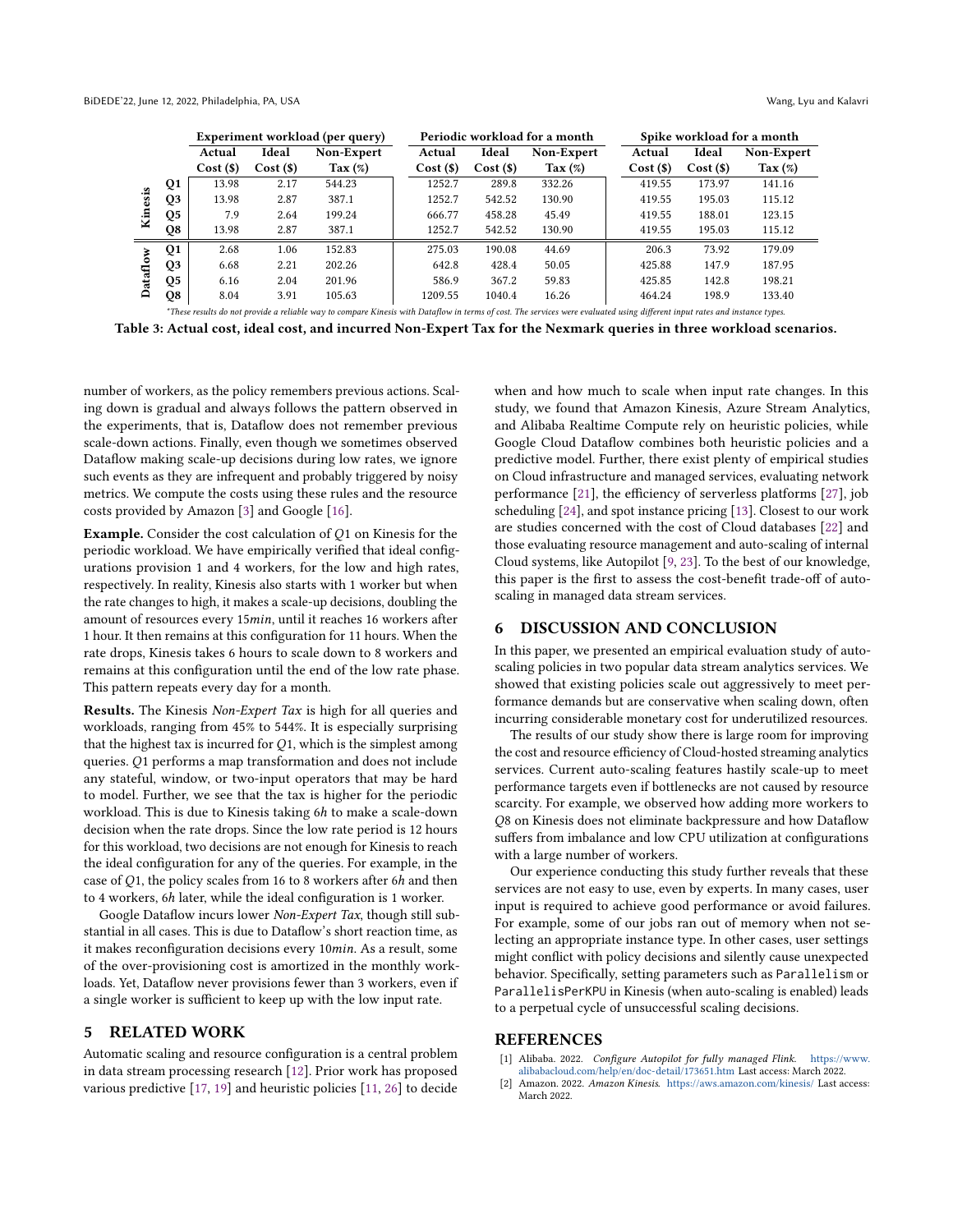<span id="page-5-2"></span>

|                           |    | Experiment workload (per query)                                                                                                                                             |         |                  |  |         |         | Periodic workload for a month | Spike workload for a month |         |                  |  |
|---------------------------|----|-----------------------------------------------------------------------------------------------------------------------------------------------------------------------------|---------|------------------|--|---------|---------|-------------------------------|----------------------------|---------|------------------|--|
|                           |    | Actual                                                                                                                                                                      | Ideal   | Non-Expert       |  | Actual  | Ideal   | Non-Expert                    | Actual                     | Ideal   | Non-Expert       |  |
|                           |    | Cost(S)                                                                                                                                                                     | Cost(S) | $\text{Tax}(\%)$ |  | Cost(S) | Cost(S) | $\text{Tax}(\%)$              | Cost(S)                    | Cost(S) | $\text{Tax}(\%)$ |  |
| esis<br>Кiл               | Q1 | 13.98                                                                                                                                                                       | 2.17    | 544.23           |  | 1252.7  | 289.8   | 332.26                        | 419.55                     | 173.97  | 141.16           |  |
|                           | Q3 | 13.98                                                                                                                                                                       | 2.87    | 387.1            |  | 1252.7  | 542.52  | 130.90                        | 419.55                     | 195.03  | 115.12           |  |
|                           | Q5 | 7.9                                                                                                                                                                         | 2.64    | 199.24           |  | 666.77  | 458.28  | 45.49                         | 419.55                     | 188.01  | 123.15           |  |
|                           | Q8 | 13.98                                                                                                                                                                       | 2.87    | 387.1            |  | 1252.7  | 542.52  | 130.90                        | 419.55                     | 195.03  | 115.12           |  |
| $\rm \tilde{s}$<br>Ē<br>≏ | Q1 | 2.68                                                                                                                                                                        | 1.06    | 152.83           |  | 275.03  | 190.08  | 44.69                         | 206.3                      | 73.92   | 179.09           |  |
|                           | Q3 | 6.68                                                                                                                                                                        | 2.21    | 202.26           |  | 642.8   | 428.4   | 50.05                         | 425.88                     | 147.9   | 187.95           |  |
|                           | Q5 | 6.16                                                                                                                                                                        | 2.04    | 201.96           |  | 586.9   | 367.2   | 59.83                         | 425.85                     | 142.8   | 198.21           |  |
|                           | Q8 | 8.04                                                                                                                                                                        | 3.91    | 105.63           |  | 1209.55 | 1040.4  | 16.26                         | 464.24                     | 198.9   | 133.40           |  |
|                           |    | *These results do not provide a reliable way to compare Kinesis with Dataflow in terms of cost. The services were evaluated using different input rates and instance types. |         |                  |  |         |         |                               |                            |         |                  |  |

Table 3: Actual cost, ideal cost, and incurred Non-Expert Tax for the Nexmark queries in three workload scenarios.

number of workers, as the policy remembers previous actions. Scaling down is gradual and always follows the pattern observed in the experiments, that is, Dataflow does not remember previous scale-down actions. Finally, even though we sometimes observed Dataflow making scale-up decisions during low rates, we ignore such events as they are infrequent and probably triggered by noisy metrics. We compute the costs using these rules and the resource costs provided by Amazon [\[3\]](#page-6-12) and Google [\[16\]](#page-6-13).

Example. Consider the cost calculation of  $O1$  on Kinesis for the periodic workload. We have empirically verified that ideal configurations provision 1 and 4 workers, for the low and high rates, respectively. In reality, Kinesis also starts with 1 worker but when the rate changes to high, it makes a scale-up decisions, doubling the amount of resources every 15min, until it reaches 16 workers after 1 hour. It then remains at this configuration for 11 hours. When the rate drops, Kinesis takes 6 hours to scale down to 8 workers and remains at this configuration until the end of the low rate phase. This pattern repeats every day for a month.

Results. The Kinesis Non-Expert Tax is high for all queries and workloads, ranging from 45% to 544%. It is especially surprising that the highest tax is incurred for  $Q_1$ , which is the simplest among queries. Q1 performs a map transformation and does not include any stateful, window, or two-input operators that may be hard to model. Further, we see that the tax is higher for the periodic workload. This is due to Kinesis taking 6ℎ to make a scale-down decision when the rate drops. Since the low rate period is 12 hours for this workload, two decisions are not enough for Kinesis to reach the ideal configuration for any of the queries. For example, in the case of  $Q1$ , the policy scales from 16 to 8 workers after 6h and then to 4 workers, 6ℎ later, while the ideal configuration is 1 worker.

Google Dataflow incurs lower Non-Expert Tax, though still substantial in all cases. This is due to Dataflow's short reaction time, as it makes reconfiguration decisions every 10min. As a result, some of the over-provisioning cost is amortized in the monthly workloads. Yet, Dataflow never provisions fewer than 3 workers, even if a single worker is sufficient to keep up with the low input rate.

# 5 RELATED WORK

Automatic scaling and resource configuration is a central problem in data stream processing research [\[12\]](#page-6-14). Prior work has proposed various predictive [\[17,](#page-6-15) [19\]](#page-6-16) and heuristic policies [\[11,](#page-6-17) [26\]](#page-6-18) to decide when and how much to scale when input rate changes. In this study, we found that Amazon Kinesis, Azure Stream Analytics, and Alibaba Realtime Compute rely on heuristic policies, while Google Cloud Dataflow combines both heuristic policies and a predictive model. Further, there exist plenty of empirical studies on Cloud infrastructure and managed services, evaluating network performance [\[21\]](#page-6-19), the efficiency of serverless platforms [\[27\]](#page-6-20), job scheduling [\[24\]](#page-6-21), and spot instance pricing [\[13\]](#page-6-22). Closest to our work are studies concerned with the cost of Cloud databases [\[22\]](#page-6-23) and those evaluating resource management and auto-scaling of internal Cloud systems, like Autopilot [\[9,](#page-6-24) [23\]](#page-6-25). To the best of our knowledge, this paper is the first to assess the cost-benefit trade-off of autoscaling in managed data stream services.

#### 6 DISCUSSION AND CONCLUSION

In this paper, we presented an empirical evaluation study of autoscaling policies in two popular data stream analytics services. We showed that existing policies scale out aggressively to meet performance demands but are conservative when scaling down, often incurring considerable monetary cost for underutilized resources.

The results of our study show there is large room for improving the cost and resource efficiency of Cloud-hosted streaming analytics services. Current auto-scaling features hastily scale-up to meet performance targets even if bottlenecks are not caused by resource scarcity. For example, we observed how adding more workers to Q8 on Kinesis does not eliminate backpressure and how Dataflow suffers from imbalance and low CPU utilization at configurations with a large number of workers.

Our experience conducting this study further reveals that these services are not easy to use, even by experts. In many cases, user input is required to achieve good performance or avoid failures. For example, some of our jobs ran out of memory when not selecting an appropriate instance type. In other cases, user settings might conflict with policy decisions and silently cause unexpected behavior. Specifically, setting parameters such as Parallelism or ParallelisPerKPU in Kinesis (when auto-scaling is enabled) leads to a perpetual cycle of unsuccessful scaling decisions.

#### **REFERENCES**

- <span id="page-5-0"></span>[1] Alibaba. 2022. Configure Autopilot for fully managed Flink. [https://www.](https://www.alibabacloud.com/help/en/doc-detail/173651.htm) [alibabacloud.com/help/en/doc-detail/173651.htm](https://www.alibabacloud.com/help/en/doc-detail/173651.htm) Last access: March 2022.
- <span id="page-5-1"></span>[2] Amazon. 2022. Amazon Kinesis. <https://aws.amazon.com/kinesis/> Last access: March 2022.